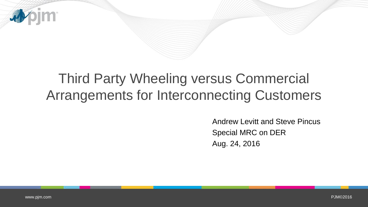

# Third Party Wheeling versus Commercial Arrangements for Interconnecting Customers

Andrew Levitt and Steve Pincus Special MRC on DER Aug. 24, 2016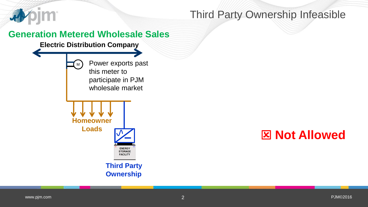

## Third Party Ownership Infeasible

#### **Generation Metered Wholesale Sales**

#### **Electric Distribution Company**



Power exports past this meter to participate in PJM wholesale market



**Third Party Ownership**

## **Not Allowed**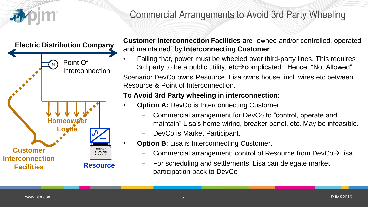

## Commercial Arrangements to Avoid 3rd Party Wheeling



**Customer Interconnection Facilities** are "owned and/or controlled, operated and maintained" by **Interconnecting Customer**.

• Failing that, power must be wheeled over third-party lines. This requires 3rd party to be a public utility,  $etc\rightarrow$  complicated. Hence: "Not Allowed" Scenario: DevCo owns Resource. Lisa owns house, incl. wires etc between Resource & Point of Interconnection.

#### **To Avoid 3rd Party wheeling in interconnection:**

- **Option A: DevCo is Interconnecting Customer.** 
	- Commercial arrangement for DevCo to "control, operate and maintain" Lisa's home wiring, breaker panel, etc. May be infeasible.
	- DevCo is Market Participant.
- **Option B:** Lisa is Interconnecting Customer.
	- Commercial arrangement: control of Resource from DevCo $\rightarrow$ Lisa.
	- For scheduling and settlements, Lisa can delegate market participation back to DevCo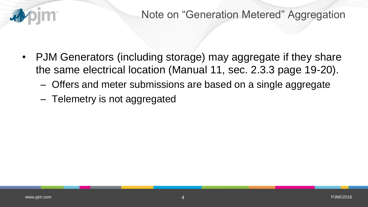

- PJM Generators (including storage) may aggregate if they share the same electrical location (Manual 11, sec. 2.3.3 page 19-20).
	- Offers and meter submissions are based on a single aggregate
	- Telemetry is not aggregated